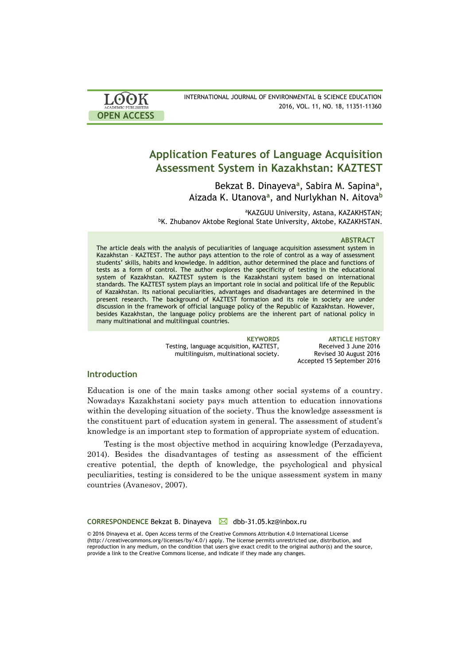

# **Application Features of Language Acquisition Assessment System in Kazakhstan: KAZTEST**

Bekzat B. Dinayeva**<sup>a</sup>** , Sabira M. Sapina**<sup>a</sup>** , Aizada K. Utanova**<sup>a</sup>** , and Nurlykhan N. Aitova**<sup>b</sup>**

aKAZGUU University, Astana, KAZAKHSTAN; bK. Zhubanov Aktobe Regional State University, Aktobe, KAZAKHSTAN.

### **ABSTRACT**

The article deals with the analysis of peculiarities of language acquisition assessment system in Kazakhstan – KAZTEST. The author pays attention to the role of control as a way of assessment students' skills, habits and knowledge. In addition, author determined the place and functions of tests as a form of control. The author explores the specificity of testing in the educational system of Kazakhstan. KAZTEST system is the Kazakhstani system based on international standards. The KAZTEST system plays an important role in social and political life of the Republic of Kazakhstan. Its national peculiarities, advantages and disadvantages are determined in the present research. The background of KAZTEST formation and its role in society are under discussion in the framework of official language policy of the Republic of Kazakhstan. However, besides Kazakhstan, the language policy problems are the inherent part of national policy in many multinational and multilingual countries.

> Testing, language acquisition, KAZTEST, multilinguism, multinational society.

**KEYWORDS ARTICLE HISTORY** Received 3 June 2016 Revised 30 August 2016 Accepted 15 September 2016

### **Introduction**

Education is one of the main tasks among other social systems of a country. Nowadays Kazakhstani society pays much attention to education innovations within the developing situation of the society. Thus the knowledge assessment is the constituent part of education system in general. The assessment of student's knowledge is an important step to formation of appropriate system of education.

Testing is the most objective method in acquiring knowledge (Perzadayeva, 2014). Besides the disadvantages of testing as assessment of the efficient creative potential, the depth of knowledge, the psychological and physical peculiarities, testing is considered to be the unique assessment system in many countries (Avanesov, 2007).

**CORRESPONDENCE Bekzat B. Dinayeva** △ dbb-31.05.kz@inbox.ru

© 2016 Dinayeva et al. Open Access terms of the Creative Commons Attribution 4.0 International License (http://creativecommons.org/licenses/by/4.0/) apply. The license permits unrestricted use, distribution, and reproduction in any medium, on the condition that users give exact credit to the original author(s) and the source, provide a link to the Creative Commons license, and indicate if they made any changes.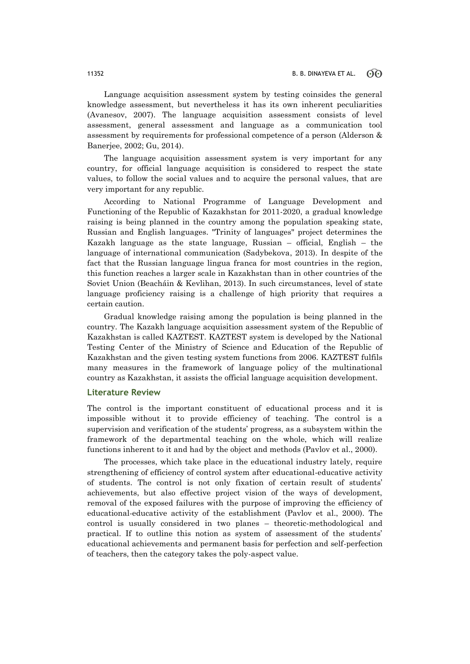Language acquisition assessment system by testing coinsides the general knowledge assessment, but nevertheless it has its own inherent peculiarities (Avanesov, 2007). The language acquisition assessment consists of level assessment, general assessment and language as a communication tool assessment by requirements for professional competence of a person (Alderson & Banerjee, 2002; Gu, 2014).

The language acquisition assessment system is very important for any country, for official language acquisition is considered to respect the state values, to follow the social values and to acquire the personal values, that are very important for any republic.

According to National Programme of Language Development and Functioning of the Republic of Kazakhstan for 2011-2020, a gradual knowledge raising is being planned in the country among the population speaking state, Russian and English languages. "Trinity of languages" project determines the Kazakh language as the state language, Russian – official, English – the language of international communication (Sadybekova, 2013). In despite of the fact that the Russian language lingua franca for most countries in the region, this function reaches a larger scale in Kazakhstan than in other countries of the Soviet Union (Beacháin & Kevlihan, 2013). In such circumstances, level of state language proficiency raising is a challenge of high priority that requires a certain caution.

Gradual knowledge raising among the population is being planned in the country. The Kazakh language acquisition assessment system of the Republic of Kazakhstan is called KAZTEST. KAZTEST system is developed by the National Testing Center of the Ministry of Science and Education of the Republic of Kazakhstan and the given testing system functions from 2006. KAZTEST fulfils many measures in the framework of language policy of the multinational country as Kazakhstan, it assists the official language acquisition development.

# **Literature Review**

The control is the important constituent of educational process and it is impossible without it to provide efficiency of teaching. The control is a supervision and verification of the students' progress, as a subsystem within the framework of the departmental teaching on the whole, which will realize functions inherent to it and had by the object and methods (Pavlov et al., 2000).

The processes, which take place in the educational industry lately, require strengthening of efficiency of control system after educational-educative activity of students. The control is not only fixation of certain result of students' achievements, but also effective project vision of the ways of development, removal of the exposed failures with the purpose of improving the efficiency of educational-educative activity of the establishment (Pavlov et al., 2000). The control is usually considered in two planes – theoretic-methodological and practical. If to outline this notion as system of assessment of the students' educational achievements and permanent basis for perfection and self-perfection of teachers, then the category takes the poly-aspect value.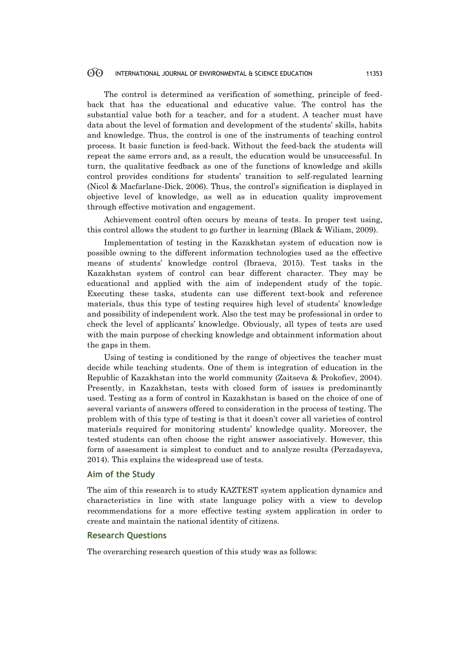The control is determined as verification of something, principle of feedback that has the educational and educative value. The control has the substantial value both for a teacher, and for a student. A teacher must have data about the level of formation and development of the students' skills, habits and knowledge. Thus, the control is one of the instruments of teaching control process. It basic function is feed-back. Without the feed-back the students will repeat the same errors and, as a result, the education would be unsuccessful. In turn, the qualitative feedback as one of the functions of knowledge and skills control provides conditions for students' transition to self-regulated learning (Nicol & Macfarlane-Dick, 2006). Thus, the control's signification is displayed in objective level of knowledge, as well as in education quality improvement through effective motivation and engagement.

Achievement control often occurs by means of tests. In proper test using, this control allows the student to go further in learning (Black & Wiliam, 2009).

Implementation of testing in the Kazakhstan system of education now is possible owning to the different information technologies used as the effective means of students' knowledge control (Ibraeva, 2015). Test tasks in the Kazakhstan system of control can bear different character. They may be educational and applied with the aim of independent study of the topic. Executing these tasks, students can use different text-book and reference materials, thus this type of testing requires high level of students' knowledge and possibility of independent work. Also the test may be professional in order to check the level of applicants' knowledge. Obviously, all types of tests are used with the main purpose of checking knowledge and obtainment information about the gaps in them.

Using of testing is conditioned by the range of objectives the teacher must decide while teaching students. One of them is integration of education in the Republic of Kazakhstan into the world community (Zaitseva & Prokofiev, 2004). Presently, in Kazakhstan, tests with closed form of issues is predominantly used. Testing as a form of control in Kazakhstan is based on the choice of one of several variants of answers offered to consideration in the process of testing. The problem with of this type of testing is that it doesn't cover all varieties of control materials required for monitoring students' knowledge quality. Moreover, the tested students can often choose the right answer associatively. However, this form of assessment is simplest to conduct and to analyze results (Perzadayeva, 2014). This explains the widespread use of tests.

### **Aim of the Study**

The aim of this research is to study KAZTEST system application dynamics and characteristics in line with state language policy with a view to develop recommendations for a more effective testing system application in order to create and maintain the national identity of citizens.

# **Research Questions**

The overarching research question of this study was as follows: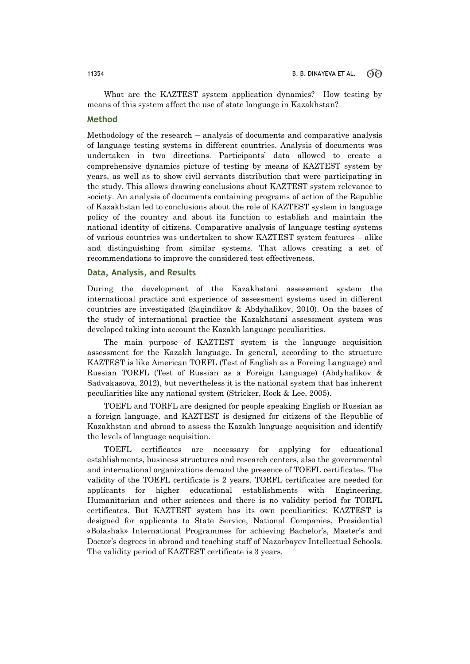What are the KAZTEST system application dynamics? How testing by means of this system affect the use of state language in Kazakhstan?

# **Method**

Methodology of the research – analysis of documents and comparative analysis of language testing systems in different countries. Analysis of documents was undertaken in two directions. Participants' data allowed to create a comprehensive dynamics picture of testing by means of KAZTEST system by years, as well as to show civil servants distribution that were participating in the study. This allows drawing conclusions about KAZTEST system relevance to society. An analysis of documents containing programs of action of the Republic of Kazakhstan led to conclusions about the role of KAZTEST system in language policy of the country and about its function to establish and maintain the national identity of citizens. Comparative analysis of language testing systems of various countries was undertaken to show KAZTEST system features – alike and distinguishing from similar systems. That allows creating a set of recommendations to improve the considered test effectiveness.

### **Data, Analysis, and Results**

During the development of the Kazakhstani assessment system the international practice and experience of assessment systems used in different countries are investigated (Sagindikov & Abdyhalikov, 2010). On the bases of the study of international practice the Kazakhstani assessment system was developed taking into account the Kazakh language peculiarities.

The main purpose of KAZTEST system is the language acquisition assessment for the Kazakh language. In general, according to the structure KAZTEST is like American TOEFL (Test of English as a Foreing Language) and Russian TORFL (Test of Russian as a Foreign Language) (Abdyhalikov & Sadvakasova, 2012), but nevertheless it is the national system that has inherent peculiarities like any national system (Stricker, Rock & Lee, 2005).

TOEFL and TORFL are designed for people speaking English or Russian as a foreign language, and KAZTEST is designed for citizens of the Republic of Kazakhstan and abroad to assess the Kazakh language acquisition and identify the levels of language acquisition.

TOEFL certificates are necessary for applying for educational establishments, business structures and research centers, also the governmental and international organizations demand the presence of TOEFL certificates. The validity of the TOEFL certificate is 2 years. TORFL certificates are needed for applicants for higher educational establishments with Engineering, Humanitarian and other sciences and there is no validity period for TORFL certificates. But KAZTEST system has its own peculiarities: KAZTEST is designed for applicants to State Service, National Companies, Presidential «Bolashak» International Programmes for achieving Bachelor's, Master's and Doctor's degrees in abroad and teaching staff of Nazarbayev Intellectual Schools. The validity period of KAZTEST certificate is 3 years.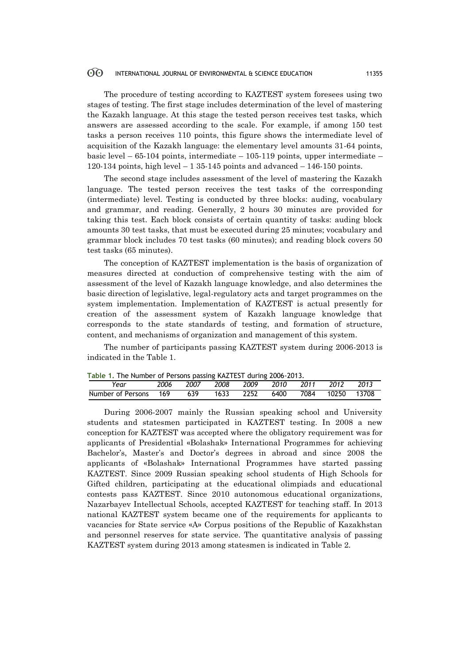The procedure of testing according to KAZTEST system foresees using two stages of testing. The first stage includes determination of the level of mastering the Kazakh language. At this stage the tested person receives test tasks, which answers are assessed according to the scale. For example, if among 150 test tasks a person receives 110 points, this figure shows the intermediate level of acquisition of the Kazakh language: the elementary level amounts 31-64 points, basic level – 65-104 points, intermediate – 105-119 points, upper intermediate – 120-134 points, high level  $-135-145$  points and advanced  $-146-150$  points.

The second stage includes assessment of the level of mastering the Kazakh language. The tested person receives the test tasks of the corresponding (intermediate) level. Testing is conducted by three blocks: auding, vocabulary and grammar, and reading. Generally, 2 hours 30 minutes are provided for taking this test. Each block consists of certain quantity of tasks: auding block amounts 30 test tasks, that must be executed during 25 minutes; vocabulary and grammar block includes 70 test tasks (60 minutes); and reading block covers 50 test tasks (65 minutes).

The conception of KAZTEST implementation is the basis of organization of measures directed at conduction of comprehensive testing with the aim of assessment of the level of Kazakh language knowledge, and also determines the basic direction of legislative, legal-regulatory acts and target programmes on the system implementation. Implementation of KAZTEST is actual presently for creation of the assessment system of Kazakh language knowledge that corresponds to the state standards of testing, and formation of structure, content, and mechanisms of organization and management of this system.

The number of participants passing KAZTEST system during 2006-2013 is indicated in the Table 1.

|                           | Table 1. The Number of Persons passing KAZTEST during 2006-2013. |  |      |  |                     |      |                  |       |  |  |
|---------------------------|------------------------------------------------------------------|--|------|--|---------------------|------|------------------|-------|--|--|
| Year                      | 2006                                                             |  |      |  | 2007 2008 2009 2010 | 2011 | 2012             | -2013 |  |  |
| Number of Persons 169 639 |                                                                  |  | 1633 |  | 2252 6400           |      | 7084 10250 13708 |       |  |  |

**Table 1.** The Number of Persons passing KAZTEST during 2006-2013.

During 2006-2007 mainly the Russian speaking school and University students and statesmen participated in KAZTEST testing. In 2008 a new conception for KAZTEST was accepted where the obligatory requirement was for applicants of Presidential «Bolashak» International Programmes for achieving Bachelor's, Master's and Doctor's degrees in abroad and since 2008 the applicants of «Bolashak» International Programmes have started passing KAZTEST. Since 2009 Russian speaking school students of High Schools for Gifted children, participating at the educational olimpiads and educational contests pass KAZTEST. Since 2010 autonomous educational organizations, Nazarbayev Intellectual Schools, accepted KAZTEST for teaching staff. In 2013 national KAZTEST system became one of the requirements for applicants to vacancies for State service «А» Corpus positions of the Republic of Kazakhstan and personnel reserves for state service. The quantitative analysis of passing KAZTEST system during 2013 among statesmen is indicated in Table 2.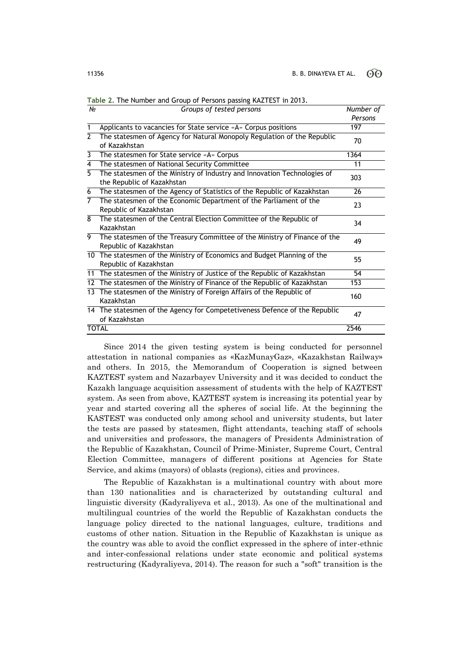| 1 Y.Y          | uruups ur testeu persuns                                                                               | וט ואטוווטיו<br>Persons |
|----------------|--------------------------------------------------------------------------------------------------------|-------------------------|
| 1              | Applicants to vacancies for State service «A» Corpus positions                                         | 197                     |
| $\overline{2}$ | The statesmen of Agency for Natural Monopoly Regulation of the Republic                                |                         |
|                | of Kazakhstan                                                                                          | 70                      |
| 3              | The statesmen for State service «A» Corpus                                                             | 1364                    |
| 4              | The statesmen of National Security Committee                                                           | 11                      |
| 5.             | The statesmen of the Ministry of Industry and Innovation Technologies of<br>the Republic of Kazakhstan | 303                     |
| 6              | The statesmen of the Agency of Statistics of the Republic of Kazakhstan                                | 26                      |
| 7              | The statesmen of the Economic Department of the Parliament of the<br>Republic of Kazakhstan            | 23                      |
| 8              | The statesmen of the Central Election Committee of the Republic of<br>Kazakhstan                       | 34                      |
| 9              | The statesmen of the Treasury Committee of the Ministry of Finance of the<br>Republic of Kazakhstan    | 49                      |
|                | 10 The statesmen of the Ministry of Economics and Budget Planning of the<br>Republic of Kazakhstan     | 55                      |
|                | 11 The statesmen of the Ministry of Justice of the Republic of Kazakhstan                              | 54                      |
|                | 12 The statesmen of the Ministry of Finance of the Republic of Kazakhstan                              | 153                     |
|                | 13 The statesmen of the Ministry of Foreign Affairs of the Republic of<br>Kazakhstan                   | 160                     |
|                | 14 The statesmen of the Agency for Competetiveness Defence of the Republic<br>of Kazakhstan            | 47                      |
|                | <b>TOTAL</b>                                                                                           | 2546                    |

**Table 2.** The Number and Group of Persons passing KAZTEST in 2013. *№ Groups of tested persons Number of* 

Since 2014 the given testing system is being conducted for personnel attestation in national companies as «KazMunayGaz», «Kazakhstan Railway» and others. In 2015, the Memorandum of Cooperation is signed between KAZTEST system and Nazarbayev University and it was decided to conduct the Kazakh language acquisition assessment of students with the help of KAZTEST system. As seen from above, KAZTEST system is increasing its potential year by year and started covering all the spheres of social life. At the beginning the KASTEST was conducted only among school and university students, but later the tests are passed by statesmen, flight attendants, teaching staff of schools and universities and professors, the managers of Presidents Administration of the Republic of Kazakhstan, Council of Prime-Minister, Supreme Court, Central Election Committee, managers of different positions at Agencies for State Service, and akims (mayors) of oblasts (regions), cities and provinces.

The Republic of Kazakhstan is a multinational country with about more than 130 nationalities and is characterized by outstanding cultural and linguistic diversity (Kadyraliyeva et al., 2013). As one of the multinational and multilingual countries of the world the Republic of Kazakhstan conducts the language policy directed to the national languages, culture, traditions and customs of other nation. Situation in the Republic of Kazakhstan is unique as the country was able to avoid the conflict expressed in the sphere of inter-ethnic and inter-confessional relations under state economic and political systems restructuring (Kadyraliyeva, 2014). The reason for such a "soft" transition is the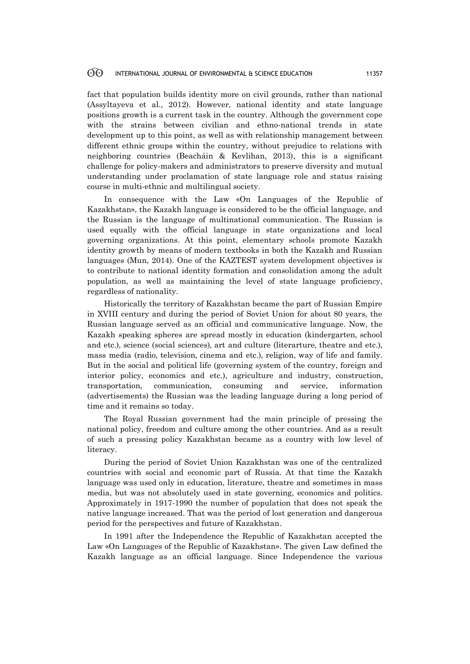fact that population builds identity more on civil grounds, rather than national (Assyltayeva et al., 2012). However, national identity and state language positions growth is a current task in the country. Although the government cope with the strains between civilian and ethno-national trends in state development up to this point, as well as with relationship management between different ethnic groups within the country, without prejudice to relations with neighboring countries (Beacháin & Kevlihan, 2013), this is a significant challenge for policy-makers and administrators to preserve diversity and mutual understanding under proclamation of state language role and status raising course in multi-ethnic and multilingual society.

In consequence with the Law «On Languages of the Republic of Kazakhstan», the Kazakh language is considered to be the official language, and the Russian is the language of multinational communication. The Russian is used equally with the official language in state organizations and local governing organizations. At this point, elementary schools promote Kazakh identity growth by means of modern textbooks in both the Kazakh and Russian languages (Mun, 2014). One of the KAZTEST system development objectives is to contribute to national identity formation and consolidation among the adult population, as well as maintaining the level of state language proficiency, regardless of nationality.

Historically the territory of Kazakhstan became the part of Russian Empire in XVIII century and during the period of Soviet Union for about 80 years, the Russian language served as an official and communicative language. Now, the Kazakh speaking spheres are spread mostly in education (kindergarten, school and etc.), science (social sciences), art and culture (literarture, theatre and etc.), mass media (radio, television, cinema and etc.), religion, way of life and family. But in the social and political life (governing system of the country, foreign and interior policy, economics and etc.), agriculture and industry, construction, transportation, communication, consuming and service, information (advertisements) the Russian was the leading language during a long period of time and it remains so today.

The Royal Russian government had the main principle of pressing the national policy, freedom and culture among the other countries. And as a result of such a pressing policy Kazakhstan became as a country with low level of literacy.

During the period of Soviet Union Kazakhstan was one of the centralized countries with social and economic part of Russia. At that time the Kazakh language was used only in education, literature, theatre and sometimes in mass media, but was not absolutely used in state governing, economics and politics. Approximately in 1917-1990 the number of population that does not speak the native language increased. That was the period of lost generation and dangerous period for the perspectives and future of Kazakhstan.

In 1991 after the Independence the Republic of Kazakhstan accepted the Law «On Languages of the Republic of Kazakhstan». The given Law defined the Kazakh language as an official language. Since Independence the various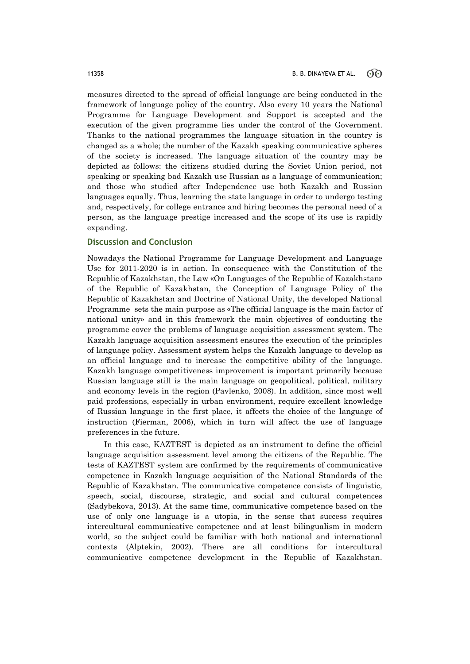measures directed to the spread of official language are being conducted in the framework of language policy of the country. Also every 10 years the National Programme for Language Development and Support is accepted and the execution of the given programme lies under the control of the Government. Thanks to the national programmes the language situation in the country is changed as a whole; the number of the Kazakh speaking communicative spheres of the society is increased. The language situation of the country may be depicted as follows: the citizens studied during the Soviet Union period, not speaking or speaking bad Kazakh use Russian as a language of communication; and those who studied after Independence use both Kazakh and Russian languages equally. Thus, learning the state language in order to undergo testing and, respectively, for college entrance and hiring becomes the personal need of a person, as the language prestige increased and the scope of its use is rapidly expanding.

# **Discussion and Conclusion**

Nowadays the National Programme for Language Development and Language Use for 2011-2020 is in action. In consequence with the Constitution of the Republic of Kazakhstan, the Law «On Languages of the Republic of Kazakhstan» of the Republic of Kazakhstan, the Conception of Language Policy of the Republic of Kazakhstan and Doctrine of National Unity, the developed National Programme sets the main purpose as «The official language is the main factor of national unity» and in this framework the main objectives of conducting the programme cover the problems of language acquisition assessment system. The Kazakh language acquisition assessment ensures the execution of the principles of language policy. Assessment system helps the Kazakh language to develop as an official language and to increase the competitive ability of the language. Kazakh language competitiveness improvement is important primarily because Russian language still is the main language on geopolitical, political, military and economy levels in the region (Pavlenko, 2008). In addition, since most well paid professions, especially in urban environment, require excellent knowledge of Russian language in the first place, it affects the choice of the language of instruction (Fierman, 2006), which in turn will affect the use of language preferences in the future.

In this case, KAZTEST is depicted as an instrument to define the official language acquisition assessment level among the citizens of the Republic. The tests of KAZTEST system are confirmed by the requirements of communicative competence in Kazakh language acquisition of the National Standards of the Republic of Kazakhstan. The communicative competence consists of linguistic, speech, social, discourse, strategic, and social and cultural competences (Sadybekova, 2013). At the same time, communicative competence based on the use of only one language is a utopia, in the sense that success requires intercultural communicative competence and at least bilingualism in modern world, so the subject could be familiar with both national and international contexts (Alptekin, 2002). There are all conditions for intercultural communicative competence development in the Republic of Kazakhstan.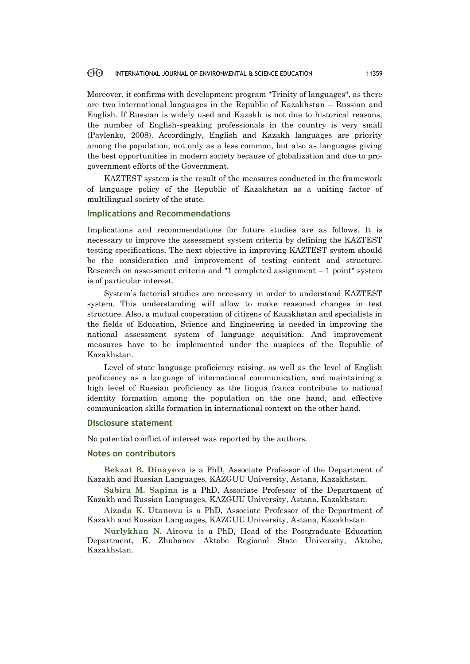Moreover, it confirms with development program "Trinity of languages", as there are two international languages in the Republic of Kazakhstan – Russian and English. If Russian is widely used and Kazakh is not due to historical reasons, the number of English-speaking professionals in the country is very small (Pavlenko, 2008). Accordingly, English and Kazakh languages are priority among the population, not only as a less common, but also as languages giving the best opportunities in modern society because of globalization and due to progovernment efforts of the Government.

KAZТЕSТ system is the result of the measures conducted in the framework of language policy of the Republic of Kazakhstan as a uniting factor of multilingual society of the state.

### **Implications and Recommendations**

Implications and recommendations for future studies are as follows. It is necessary to improve the assessment system criteria by defining the KAZTEST testing specifications. The next objective in improving KAZTEST system should be the consideration and improvement of testing content and structure. Research on assessment criteria and "1 completed assignment – 1 point" system is of particular interest.

System's factorial studies are necessary in order to understand KAZTEST system. This understanding will allow to make reasoned changes in test structure. Also, a mutual cooperation of citizens of Kazakhstan and specialists in the fields of Education, Science and Engineering is needed in improving the national assessment system of language acquisition. And improvement measures have to be implemented under the auspices of the Republic of Kazakhstan.

Level of state language proficiency raising, as well as the level of English proficiency as a language of international communication, and maintaining a high level of Russian proficiency as the lingua franca contribute to national identity formation among the population on the one hand, and effective communication skills formation in international context on the other hand.

### **Disclosure statement**

No potential conflict of interest was reported by the authors.

### **Notes on contributors**

**Bekzat B. Dinayeva** is a PhD, Associate Professor of the Department of Kazakh and Russian Languages, KAZGUU University, Astana, Kazakhstan.

**Sabira M. Sapina** is a PhD, Associate Professor of the Department of Kazakh and Russian Languages, KAZGUU University, Astana, Kazakhstan.

**Aizada K. Utanova** is a PhD, Associate Professor of the Department of Kazakh and Russian Languages, KAZGUU University, Astana, Kazakhstan.

**Nurlykhan N. Aitova** is a PhD, Head of the Postgraduate Education Department, K. Zhubanov Aktobe Regional State University, Aktobe, Kazakhstan.